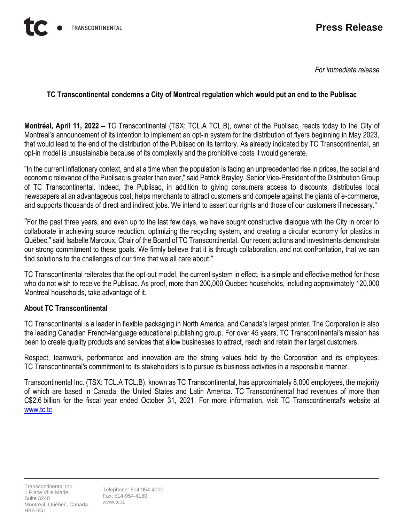*For immediate release*

## **TC Transcontinental condemns a City of Montreal regulation which would put an end to the Publisac**

**Montréal, April 11, 2022 –** TC Transcontinental (TSX: TCL.A TCL.B), owner of the Publisac, reacts today to the City of Montreal's announcement of its intention to implement an opt-in system for the distribution of flyers beginning in May 2023, that would lead to the end of the distribution of the Publisac on its territory. As already indicated by TC Transcontinental, an opt-in model is unsustainable because of its complexity and the prohibitive costs it would generate.

"In the current inflationary context, and at a time when the population is facing an unprecedented rise in prices, the social and economic relevance of the Publisac is greater than ever," said Patrick Brayley, Senior Vice-President of the Distribution Group of TC Transcontinental. Indeed, the Publisac, in addition to giving consumers access to discounts, distributes local newspapers at an advantageous cost, helps merchants to attract customers and compete against the giants of e-commerce, and supports thousands of direct and indirect jobs. We intend to assert our rights and those of our customers if necessary."

"For the past three years, and even up to the last few days, we have sought constructive dialogue with the City in order to collaborate in achieving source reduction, optimizing the recycling system, and creating a circular economy for plastics in Québec," said Isabelle Marcoux, Chair of the Board of TC Transcontinental. Our recent actions and investments demonstrate our strong commitment to these goals. We firmly believe that it is through collaboration, and not confrontation, that we can find solutions to the challenges of our time that we all care about."

TC Transcontinental reiterates that the opt-out model, the current system in effect, is a simple and effective method for those who do not wish to receive the Publisac. As proof, more than 200,000 Quebec households, including approximately 120,000 Montreal households, take advantage of it.

## **About TC Transcontinental**

TC Transcontinental is a leader in flexible packaging in North America, and Canada's largest printer. The Corporation is also the leading Canadian French-language educational publishing group. For over 45 years, TC Transcontinental's mission has been to create quality products and services that allow businesses to attract, reach and retain their target customers.

Respect, teamwork, performance and innovation are the strong values held by the Corporation and its employees. TC Transcontinental's commitment to its stakeholders is to pursue its business activities in a responsible manner.

Transcontinental Inc. (TSX: TCL.A TCL.B), known as TC Transcontinental, has approximately 8,000 employees, the majority of which are based in Canada, the United States and Latin America. TC Transcontinental had revenues of more than C\$2.6 billion for the fiscal year ended October 31, 2021. For more information, visit TC Transcontinental's website at [www.tc.tc](http://www.tc.tc/)